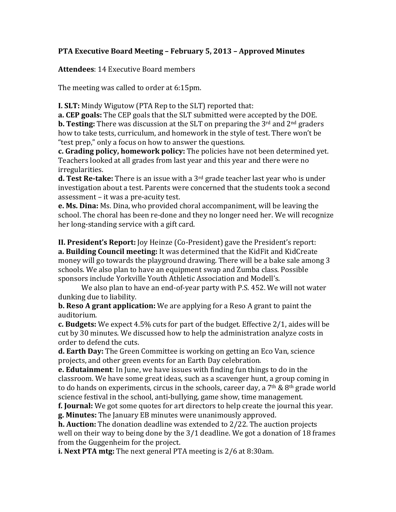## **PTA Executive Board Meeting – February 5, 2013 – Approved Minutes**

**Attendees**: 14 Executive Board members

The meeting was called to order at 6:15pm.

**I. SLT:** Mindy Wigutow (PTA Rep to the SLT) reported that:

**a. CEP goals:** The CEP goals that the SLT submitted were accepted by the DOE.

**b. Testing:** There was discussion at the SLT on preparing the  $3<sup>rd</sup>$  and  $2<sup>nd</sup>$  graders how to take tests, curriculum, and homework in the style of test. There won't be "test prep," only a focus on how to answer the questions.

c. Grading policy, homework policy: The policies have not been determined vet. Teachers looked at all grades from last year and this year and there were no irregularities.

**d.** Test Re-take: There is an issue with a 3<sup>rd</sup> grade teacher last year who is under investigation about a test. Parents were concerned that the students took a second  $assessment - it was a pre-acuity test.$ 

**e. Ms. Dina:** Ms. Dina, who provided choral accompaniment, will be leaving the school. The choral has been re-done and they no longer need her. We will recognize her long-standing service with a gift card.

**II. President's Report:** Joy Heinze (Co-President) gave the President's report: **a. Building Council meeting:** It was determined that the KidFit and KidCreate money will go towards the playground drawing. There will be a bake sale among 3 schools. We also plan to have an equipment swap and Zumba class. Possible sponsors include Yorkville Youth Athletic Association and Modell's.

We also plan to have an end-of-year party with P.S. 452. We will not water dunking due to liability.

**b. Reso A grant application:** We are applying for a Reso A grant to paint the auditorium. 

**c. Budgets:** We expect 4.5% cuts for part of the budget. Effective 2/1, aides will be cut by 30 minutes. We discussed how to help the administration analyze costs in order to defend the cuts.

**d. Earth Day:** The Green Committee is working on getting an Eco Van, science projects, and other green events for an Earth Day celebration.

**e. Edutainment**: In June, we have issues with finding fun things to do in the classroom. We have some great ideas, such as a scavenger hunt, a group coming in to do hands on experiments, circus in the schools, career day, a  $7<sup>th</sup>$  &  $8<sup>th</sup>$  grade world science festival in the school, anti-bullying, game show, time management.

**f. Journal:** We got some quotes for art directors to help create the journal this year. **g. Minutes:** The January EB minutes were unanimously approved.

**h. Auction:** The donation deadline was extended to 2/22. The auction projects well on their way to being done by the  $3/1$  deadline. We got a donation of 18 frames from the Guggenheim for the project.

**i. Next PTA mtg:** The next general PTA meeting is 2/6 at 8:30am.